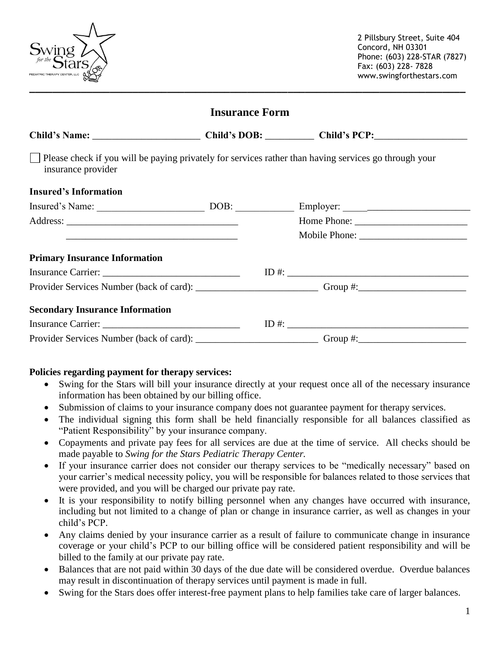

| <b>Insurance Form</b>                                                                                                       |  |                                                            |
|-----------------------------------------------------------------------------------------------------------------------------|--|------------------------------------------------------------|
|                                                                                                                             |  |                                                            |
| Please check if you will be paying privately for services rather than having services go through your<br>insurance provider |  |                                                            |
| <b>Insured's Information</b>                                                                                                |  |                                                            |
| Insured's Name:                                                                                                             |  |                                                            |
| <u> 1989 - Johann Stoff, amerikansk politiker (d. 1989)</u>                                                                 |  |                                                            |
|                                                                                                                             |  |                                                            |
| <b>Primary Insurance Information</b>                                                                                        |  |                                                            |
|                                                                                                                             |  |                                                            |
|                                                                                                                             |  | Provider Services Number (back of card): Crown #: Crown #: |
| <b>Secondary Insurance Information</b>                                                                                      |  |                                                            |
|                                                                                                                             |  | $ID \#:$                                                   |
|                                                                                                                             |  | Provider Services Number (back of card): Crown #: Crown #: |

## **Policies regarding payment for therapy services:**

- Swing for the Stars will bill your insurance directly at your request once all of the necessary insurance information has been obtained by our billing office.
- Submission of claims to your insurance company does not guarantee payment for therapy services.
- The individual signing this form shall be held financially responsible for all balances classified as "Patient Responsibility" by your insurance company.
- Copayments and private pay fees for all services are due at the time of service. All checks should be made payable to *Swing for the Stars Pediatric Therapy Center.*
- If your insurance carrier does not consider our therapy services to be "medically necessary" based on your carrier's medical necessity policy, you will be responsible for balances related to those services that were provided, and you will be charged our private pay rate.
- It is your responsibility to notify billing personnel when any changes have occurred with insurance, including but not limited to a change of plan or change in insurance carrier, as well as changes in your child's PCP.
- Any claims denied by your insurance carrier as a result of failure to communicate change in insurance coverage or your child's PCP to our billing office will be considered patient responsibility and will be billed to the family at our private pay rate.
- Balances that are not paid within 30 days of the due date will be considered overdue. Overdue balances may result in discontinuation of therapy services until payment is made in full.
- Swing for the Stars does offer interest-free payment plans to help families take care of larger balances.